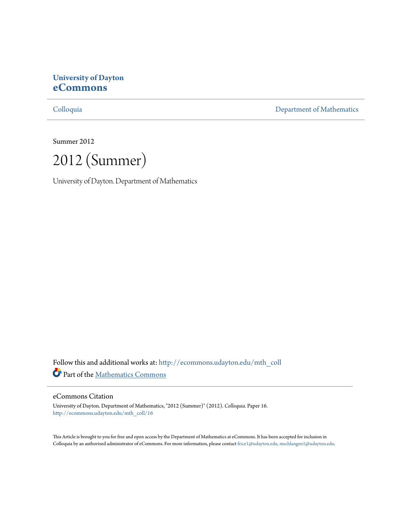# **University of Dayton [eCommons](http://ecommons.udayton.edu?utm_source=ecommons.udayton.edu%2Fmth_coll%2F16&utm_medium=PDF&utm_campaign=PDFCoverPages)**

[Colloquia](http://ecommons.udayton.edu/mth_coll?utm_source=ecommons.udayton.edu%2Fmth_coll%2F16&utm_medium=PDF&utm_campaign=PDFCoverPages) [Department of Mathematics](http://ecommons.udayton.edu/mth?utm_source=ecommons.udayton.edu%2Fmth_coll%2F16&utm_medium=PDF&utm_campaign=PDFCoverPages)

Summer 2012

2012 (Summer)

University of Dayton. Department of Mathematics

Follow this and additional works at: [http://ecommons.udayton.edu/mth\\_coll](http://ecommons.udayton.edu/mth_coll?utm_source=ecommons.udayton.edu%2Fmth_coll%2F16&utm_medium=PDF&utm_campaign=PDFCoverPages) Part of the [Mathematics Commons](http://network.bepress.com/hgg/discipline/174?utm_source=ecommons.udayton.edu%2Fmth_coll%2F16&utm_medium=PDF&utm_campaign=PDFCoverPages)

#### eCommons Citation

University of Dayton. Department of Mathematics, "2012 (Summer)" (2012). *Colloquia.* Paper 16. [http://ecommons.udayton.edu/mth\\_coll/16](http://ecommons.udayton.edu/mth_coll/16?utm_source=ecommons.udayton.edu%2Fmth_coll%2F16&utm_medium=PDF&utm_campaign=PDFCoverPages)

This Article is brought to you for free and open access by the Department of Mathematics at eCommons. It has been accepted for inclusion in Colloquia by an authorized administrator of eCommons. For more information, please contact [frice1@udayton.edu, mschlangen1@udayton.edu.](mailto:frice1@udayton.edu,%20mschlangen1@udayton.edu)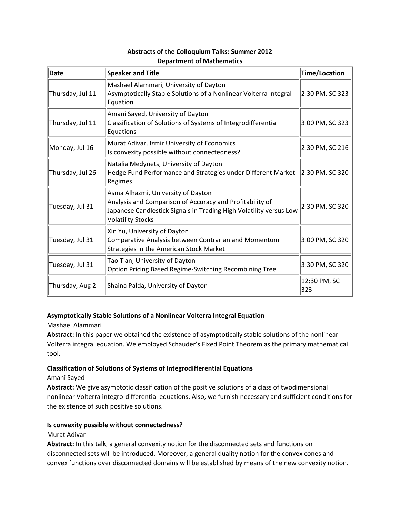| Date             | <b>Speaker and Title</b>                                                                                                                                                                         | Time/Location       |
|------------------|--------------------------------------------------------------------------------------------------------------------------------------------------------------------------------------------------|---------------------|
| Thursday, Jul 11 | Mashael Alammari, University of Dayton<br>Asymptotically Stable Solutions of a Nonlinear Volterra Integral<br>Equation                                                                           | 2:30 PM, SC 323     |
| Thursday, Jul 11 | Amani Sayed, University of Dayton<br>Classification of Solutions of Systems of Integrodifferential<br>Equations                                                                                  | 3:00 PM, SC 323     |
| Monday, Jul 16   | Murat Adivar, Izmir University of Economics<br>Is convexity possible without connectedness?                                                                                                      | 2:30 PM, SC 216     |
| Thursday, Jul 26 | Natalia Medynets, University of Dayton<br>Hedge Fund Performance and Strategies under Different Market 2:30 PM, SC 320<br>Regimes                                                                |                     |
| Tuesday, Jul 31  | Asma Alhazmi, University of Dayton<br>Analysis and Comparison of Accuracy and Profitability of<br>Japanese Candlestick Signals in Trading High Volatility versus Low<br><b>Volatility Stocks</b> | 2:30 PM, SC 320     |
| Tuesday, Jul 31  | Xin Yu, University of Dayton<br>Comparative Analysis between Contrarian and Momentum<br>Strategies in the American Stock Market                                                                  | 3:00 PM, SC 320     |
| Tuesday, Jul 31  | Tao Tian, University of Dayton<br>Option Pricing Based Regime-Switching Recombining Tree                                                                                                         | 3:30 PM, SC 320     |
| Thursday, Aug 2  | Shaina Palda, University of Dayton                                                                                                                                                               | 12:30 PM, SC<br>323 |

#### **Abstracts of the Colloquium Talks: Summer 2012 Department of Mathematics**

## **Asymptotically Stable Solutions of a Nonlinear Volterra Integral Equation**

#### Mashael Alammari

**Abstract:** In this paper we obtained the existence of asymptotically stable solutions of the nonlinear Volterra integral equation. We employed Schauder's Fixed Point Theorem as the primary mathematical tool.

## **Classification of Solutions of Systems of Integrodifferential Equations**

#### Amani Sayed

**Abstract:** We give asymptotic classification of the positive solutions of a class of twodimensional nonlinear Volterra integro‐differential equations. Also, we furnish necessary and sufficient conditions for the existence of such positive solutions.

## **Is convexity possible without connectedness?**

## Murat Adivar

**Abstract:** In this talk, a general convexity notion for the disconnected sets and functions on disconnected sets will be introduced. Moreover, a general duality notion for the convex cones and convex functions over disconnected domains will be established by means of the new convexity notion.